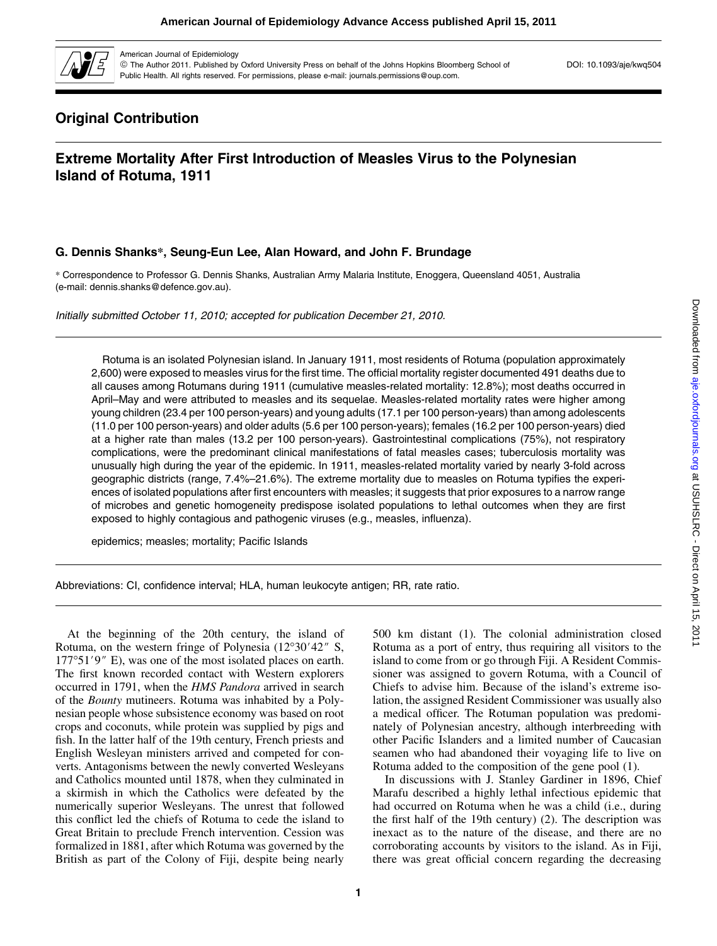

American Journal of Epidemiology

ª The Author 2011. Published by Oxford University Press on behalf of the Johns Hopkins Bloomberg School of Public Health. All rights reserved. For permissions, please e-mail: journals.permissions@oup.com.

DOI: 10.1093/aje/kwq504

# Original Contribution

## Extreme Mortality After First Introduction of Measles Virus to the Polynesian Island of Rotuma, 1911

### G. Dennis Shanks*\**, Seung-Eun Lee, Alan Howard, and John F. Brundage

\* Correspondence to Professor G. Dennis Shanks, Australian Army Malaria Institute, Enoggera, Queensland 4051, Australia (e-mail: dennis.shanks@defence.gov.au).

Initially submitted October 11, 2010; accepted for publication December 21, 2010.

Rotuma is an isolated Polynesian island. In January 1911, most residents of Rotuma (population approximately 2,600) were exposed to measles virus for the first time. The official mortality register documented 491 deaths due to all causes among Rotumans during 1911 (cumulative measles-related mortality: 12.8%); most deaths occurred in April–May and were attributed to measles and its sequelae. Measles-related mortality rates were higher among young children (23.4 per 100 person-years) and young adults (17.1 per 100 person-years) than among adolescents (11.0 per 100 person-years) and older adults (5.6 per 100 person-years); females (16.2 per 100 person-years) died at a higher rate than males (13.2 per 100 person-years). Gastrointestinal complications (75%), not respiratory complications, were the predominant clinical manifestations of fatal measles cases; tuberculosis mortality was unusually high during the year of the epidemic. In 1911, measles-related mortality varied by nearly 3-fold across geographic districts (range, 7.4%–21.6%). The extreme mortality due to measles on Rotuma typifies the experiences of isolated populations after first encounters with measles; it suggests that prior exposures to a narrow range of microbes and genetic homogeneity predispose isolated populations to lethal outcomes when they are first exposed to highly contagious and pathogenic viruses (e.g., measles, influenza).

epidemics; measles; mortality; Pacific Islands

Abbreviations: CI, confidence interval; HLA, human leukocyte antigen; RR, rate ratio.

At the beginning of the 20th century, the island of Rotuma, on the western fringe of Polynesia  $(12^{\circ}30'42''$  S,  $177°51'9''$  E), was one of the most isolated places on earth. The first known recorded contact with Western explorers occurred in 1791, when the HMS Pandora arrived in search of the Bounty mutineers. Rotuma was inhabited by a Polynesian people whose subsistence economy was based on root crops and coconuts, while protein was supplied by pigs and fish. In the latter half of the 19th century, French priests and English Wesleyan ministers arrived and competed for converts. Antagonisms between the newly converted Wesleyans and Catholics mounted until 1878, when they culminated in a skirmish in which the Catholics were defeated by the numerically superior Wesleyans. The unrest that followed this conflict led the chiefs of Rotuma to cede the island to Great Britain to preclude French intervention. Cession was formalized in 1881, after which Rotuma was governed by the British as part of the Colony of Fiji, despite being nearly

1

500 km distant (1). The colonial administration closed Rotuma as a port of entry, thus requiring all visitors to the island to come from or go through Fiji. A Resident Commissioner was assigned to govern Rotuma, with a Council of Chiefs to advise him. Because of the island's extreme isolation, the assigned Resident Commissioner was usually also a medical officer. The Rotuman population was predominately of Polynesian ancestry, although interbreeding with other Pacific Islanders and a limited number of Caucasian seamen who had abandoned their voyaging life to live on Rotuma added to the composition of the gene pool (1).

In discussions with J. Stanley Gardiner in 1896, Chief Marafu described a highly lethal infectious epidemic that had occurred on Rotuma when he was a child (i.e., during the first half of the 19th century) (2). The description was inexact as to the nature of the disease, and there are no corroborating accounts by visitors to the island. As in Fiji, there was great official concern regarding the decreasing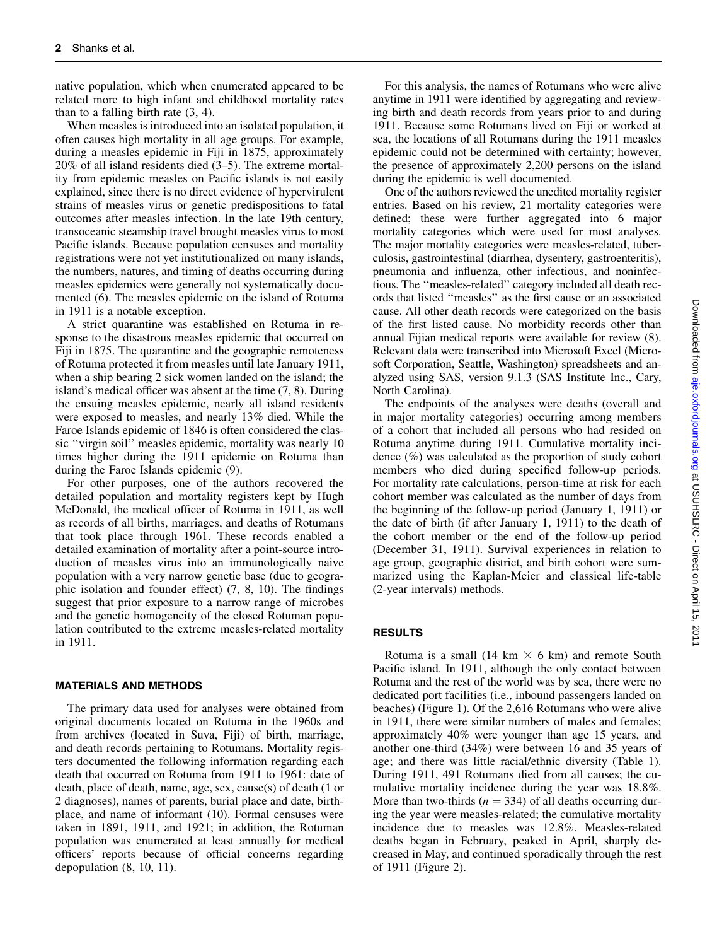native population, which when enumerated appeared to be related more to high infant and childhood mortality rates than to a falling birth rate (3, 4).

When measles is introduced into an isolated population, it often causes high mortality in all age groups. For example, during a measles epidemic in Fiji in 1875, approximately 20% of all island residents died (3–5). The extreme mortality from epidemic measles on Pacific islands is not easily explained, since there is no direct evidence of hypervirulent strains of measles virus or genetic predispositions to fatal outcomes after measles infection. In the late 19th century, transoceanic steamship travel brought measles virus to most Pacific islands. Because population censuses and mortality registrations were not yet institutionalized on many islands, the numbers, natures, and timing of deaths occurring during measles epidemics were generally not systematically documented (6). The measles epidemic on the island of Rotuma in 1911 is a notable exception.

A strict quarantine was established on Rotuma in response to the disastrous measles epidemic that occurred on Fiji in 1875. The quarantine and the geographic remoteness of Rotuma protected it from measles until late January 1911, when a ship bearing 2 sick women landed on the island; the island's medical officer was absent at the time (7, 8). During the ensuing measles epidemic, nearly all island residents were exposed to measles, and nearly 13% died. While the Faroe Islands epidemic of 1846 is often considered the classic ''virgin soil'' measles epidemic, mortality was nearly 10 times higher during the 1911 epidemic on Rotuma than during the Faroe Islands epidemic (9).

For other purposes, one of the authors recovered the detailed population and mortality registers kept by Hugh McDonald, the medical officer of Rotuma in 1911, as well as records of all births, marriages, and deaths of Rotumans that took place through 1961. These records enabled a detailed examination of mortality after a point-source introduction of measles virus into an immunologically naive population with a very narrow genetic base (due to geographic isolation and founder effect) (7, 8, 10). The findings suggest that prior exposure to a narrow range of microbes and the genetic homogeneity of the closed Rotuman population contributed to the extreme measles-related mortality in 1911.

#### MATERIALS AND METHODS

The primary data used for analyses were obtained from original documents located on Rotuma in the 1960s and from archives (located in Suva, Fiji) of birth, marriage, and death records pertaining to Rotumans. Mortality registers documented the following information regarding each death that occurred on Rotuma from 1911 to 1961: date of death, place of death, name, age, sex, cause(s) of death (1 or 2 diagnoses), names of parents, burial place and date, birthplace, and name of informant (10). Formal censuses were taken in 1891, 1911, and 1921; in addition, the Rotuman population was enumerated at least annually for medical officers' reports because of official concerns regarding depopulation (8, 10, 11).

For this analysis, the names of Rotumans who were alive anytime in 1911 were identified by aggregating and reviewing birth and death records from years prior to and during 1911. Because some Rotumans lived on Fiji or worked at sea, the locations of all Rotumans during the 1911 measles epidemic could not be determined with certainty; however, the presence of approximately 2,200 persons on the island during the epidemic is well documented.

One of the authors reviewed the unedited mortality register entries. Based on his review, 21 mortality categories were defined; these were further aggregated into 6 major mortality categories which were used for most analyses. The major mortality categories were measles-related, tuberculosis, gastrointestinal (diarrhea, dysentery, gastroenteritis), pneumonia and influenza, other infectious, and noninfectious. The ''measles-related'' category included all death records that listed ''measles'' as the first cause or an associated cause. All other death records were categorized on the basis of the first listed cause. No morbidity records other than annual Fijian medical reports were available for review (8). Relevant data were transcribed into Microsoft Excel (Microsoft Corporation, Seattle, Washington) spreadsheets and analyzed using SAS, version 9.1.3 (SAS Institute Inc., Cary, North Carolina).

The endpoints of the analyses were deaths (overall and in major mortality categories) occurring among members of a cohort that included all persons who had resided on Rotuma anytime during 1911. Cumulative mortality incidence (%) was calculated as the proportion of study cohort members who died during specified follow-up periods. For mortality rate calculations, person-time at risk for each cohort member was calculated as the number of days from the beginning of the follow-up period (January 1, 1911) or the date of birth (if after January 1, 1911) to the death of the cohort member or the end of the follow-up period (December 31, 1911). Survival experiences in relation to age group, geographic district, and birth cohort were summarized using the Kaplan-Meier and classical life-table (2-year intervals) methods.

#### RESULTS

Rotuma is a small (14 km  $\times$  6 km) and remote South Pacific island. In 1911, although the only contact between Rotuma and the rest of the world was by sea, there were no dedicated port facilities (i.e., inbound passengers landed on beaches) (Figure 1). Of the 2,616 Rotumans who were alive in 1911, there were similar numbers of males and females; approximately 40% were younger than age 15 years, and another one-third (34%) were between 16 and 35 years of age; and there was little racial/ethnic diversity (Table 1). During 1911, 491 Rotumans died from all causes; the cumulative mortality incidence during the year was 18.8%. More than two-thirds ( $n = 334$ ) of all deaths occurring during the year were measles-related; the cumulative mortality incidence due to measles was 12.8%. Measles-related deaths began in February, peaked in April, sharply decreased in May, and continued sporadically through the rest of 1911 (Figure 2).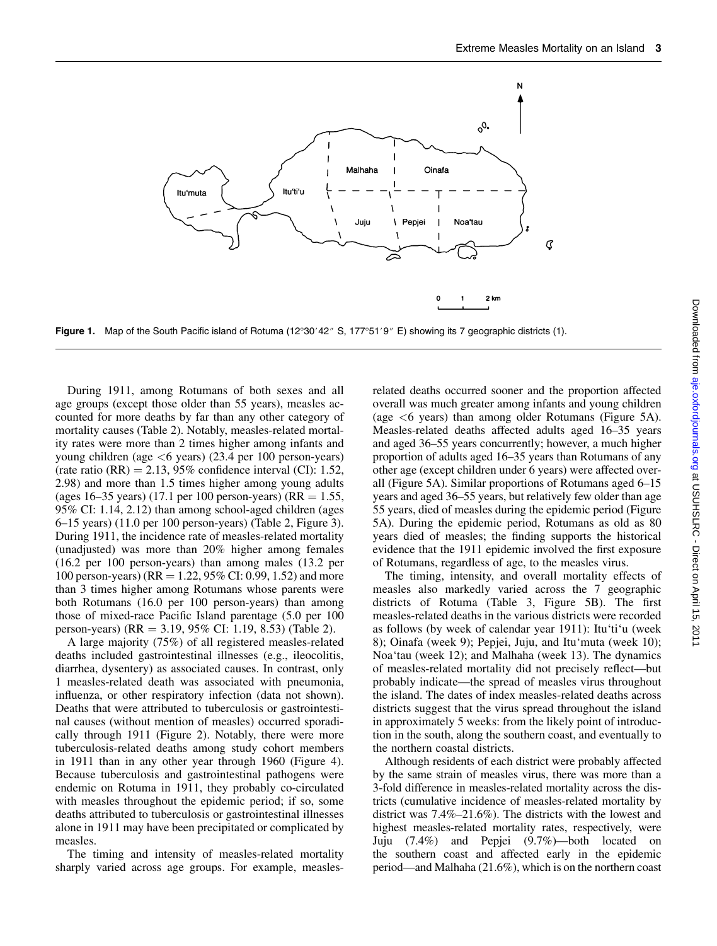

Figure 1. Map of the South Pacific island of Rotuma  $(12^{\circ}30'42'' S, 177^{\circ}51'9'' E)$  showing its 7 geographic districts (1).

During 1911, among Rotumans of both sexes and all age groups (except those older than 55 years), measles accounted for more deaths by far than any other category of mortality causes (Table 2). Notably, measles-related mortality rates were more than 2 times higher among infants and young children (age  $\lt 6$  years) (23.4 per 100 person-years) (rate ratio  $(RR) = 2.13$ , 95% confidence interval (CI): 1.52, 2.98) and more than 1.5 times higher among young adults (ages 16–35 years) (17.1 per 100 person-years) (RR = 1.55, 95% CI: 1.14, 2.12) than among school-aged children (ages 6–15 years) (11.0 per 100 person-years) (Table 2, Figure 3). During 1911, the incidence rate of measles-related mortality (unadjusted) was more than 20% higher among females (16.2 per 100 person-years) than among males (13.2 per 100 person-years) ( $RR = 1.22, 95\%$  CI: 0.99, 1.52) and more than 3 times higher among Rotumans whose parents were both Rotumans (16.0 per 100 person-years) than among those of mixed-race Pacific Island parentage (5.0 per 100 person-years) (RR = 3.19, 95% CI: 1.19, 8.53) (Table 2).

A large majority (75%) of all registered measles-related deaths included gastrointestinal illnesses (e.g., ileocolitis, diarrhea, dysentery) as associated causes. In contrast, only 1 measles-related death was associated with pneumonia, influenza, or other respiratory infection (data not shown). Deaths that were attributed to tuberculosis or gastrointestinal causes (without mention of measles) occurred sporadically through 1911 (Figure 2). Notably, there were more tuberculosis-related deaths among study cohort members in 1911 than in any other year through 1960 (Figure 4). Because tuberculosis and gastrointestinal pathogens were endemic on Rotuma in 1911, they probably co-circulated with measles throughout the epidemic period; if so, some deaths attributed to tuberculosis or gastrointestinal illnesses alone in 1911 may have been precipitated or complicated by measles.

The timing and intensity of measles-related mortality sharply varied across age groups. For example, measlesrelated deaths occurred sooner and the proportion affected overall was much greater among infants and young children (age <6 years) than among older Rotumans (Figure 5A). Measles-related deaths affected adults aged 16–35 years and aged 36–55 years concurrently; however, a much higher proportion of adults aged 16–35 years than Rotumans of any other age (except children under 6 years) were affected overall (Figure 5A). Similar proportions of Rotumans aged 6–15 years and aged 36–55 years, but relatively few older than age 55 years, died of measles during the epidemic period (Figure 5A). During the epidemic period, Rotumans as old as 80 years died of measles; the finding supports the historical evidence that the 1911 epidemic involved the first exposure of Rotumans, regardless of age, to the measles virus.

The timing, intensity, and overall mortality effects of measles also markedly varied across the 7 geographic districts of Rotuma (Table 3, Figure 5B). The first measles-related deaths in the various districts were recorded as follows (by week of calendar year 1911): Itu'ti'u (week 8); Oinafa (week 9); Pepjei, Juju, and Itu'muta (week 10); Noa'tau (week 12); and Malhaha (week 13). The dynamics of measles-related mortality did not precisely reflect—but probably indicate—the spread of measles virus throughout the island. The dates of index measles-related deaths across districts suggest that the virus spread throughout the island in approximately 5 weeks: from the likely point of introduction in the south, along the southern coast, and eventually to the northern coastal districts.

Although residents of each district were probably affected by the same strain of measles virus, there was more than a 3-fold difference in measles-related mortality across the districts (cumulative incidence of measles-related mortality by district was 7.4%–21.6%). The districts with the lowest and highest measles-related mortality rates, respectively, were Juju (7.4%) and Pepjei (9.7%)—both located on the southern coast and affected early in the epidemic period—and Malhaha (21.6%), which is on the northern coast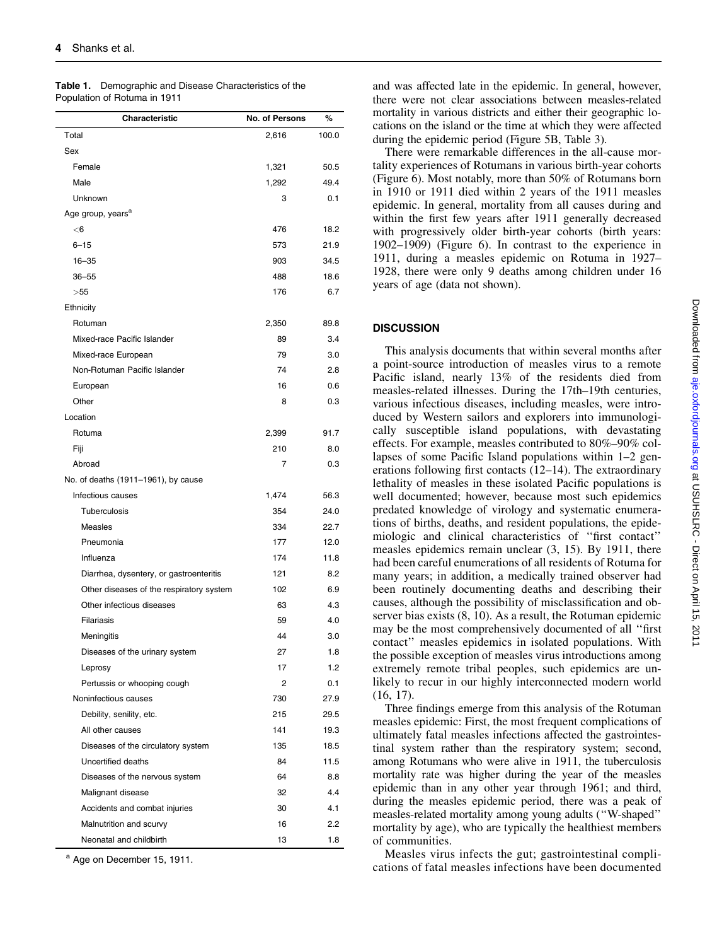| Characteristic                                     | <b>No. of Persons</b> | %          |
|----------------------------------------------------|-----------------------|------------|
| Total                                              | 2.616                 | 100.0      |
| Sex                                                |                       |            |
| Female                                             | 1,321                 | 50.5       |
| Male                                               | 1,292                 | 49.4       |
| Unknown                                            | 3                     | 0.1        |
| Age group, years <sup>a</sup>                      |                       |            |
| $<$ 6                                              | 476                   | 18.2       |
| $6 - 15$                                           | 573                   | 21.9       |
| $16 - 35$                                          | 903                   | 34.5       |
| $36 - 55$                                          | 488                   | 18.6       |
| >55                                                | 176                   | 6.7        |
| Ethnicity                                          |                       |            |
| Rotuman                                            | 2,350                 | 89.8       |
| Mixed-race Pacific Islander                        | 89                    | 3.4        |
| Mixed-race European                                | 79                    | 3.0        |
| Non-Rotuman Pacific Islander                       | 74                    | 2.8        |
| European                                           | 16                    | 0.6        |
| Other                                              | 8                     | 0.3        |
| Location                                           |                       |            |
| Rotuma                                             | 2,399                 | 91.7       |
| Fiji                                               | 210                   | 8.0        |
| Abroad                                             | 7                     | 0.3        |
| No. of deaths (1911-1961), by cause                |                       |            |
| Infectious causes                                  | 1,474                 | 56.3       |
| Tuberculosis                                       | 354                   | 24.0       |
| Measles                                            | 334                   | 22.7       |
| Pneumonia                                          | 177                   | 12.0       |
| Influenza                                          | 174                   | 11.8       |
| Diarrhea, dysentery, or gastroenteritis            | 121                   | 8.2        |
| Other diseases of the respiratory system           | 102                   | 6.9        |
| Other infectious diseases                          | 63                    | 4.3        |
| Filariasis                                         | 59                    | 4.0        |
| Meningitis                                         | 44                    | 3.0        |
| Diseases of the urinary system                     | 27                    | 1.8        |
| Leprosy                                            | 17                    | 1.2        |
| Pertussis or whooping cough                        | 2                     | 0.1        |
| Noninfectious causes                               | 730                   | 27.9       |
| Debility, senility, etc.                           | 215                   | 29.5       |
| All other causes                                   | 141                   | 19.3       |
| Diseases of the circulatory system                 | 135                   | 18.5       |
| Uncertified deaths                                 | 84                    | 11.5       |
| Diseases of the nervous system                     | 64                    | 8.8        |
| Malignant disease                                  | 32                    | 4.4        |
|                                                    | 30                    | 4.1        |
| Accidents and combat injuries                      |                       |            |
| Malnutrition and scurvy<br>Neonatal and childbirth | 16<br>13              | 2.2<br>1.8 |
|                                                    |                       |            |

Table 1. Demographic and Disease Characteristics of the Population of Rotuma in 1911

<sup>a</sup> Age on December 15, 1911.

and was affected late in the epidemic. In general, however, there were not clear associations between measles-related mortality in various districts and either their geographic locations on the island or the time at which they were affected during the epidemic period (Figure 5B, Table 3).

There were remarkable differences in the all-cause mortality experiences of Rotumans in various birth-year cohorts (Figure 6). Most notably, more than 50% of Rotumans born in 1910 or 1911 died within 2 years of the 1911 measles epidemic. In general, mortality from all causes during and within the first few years after 1911 generally decreased with progressively older birth-year cohorts (birth years: 1902–1909) (Figure 6). In contrast to the experience in 1911, during a measles epidemic on Rotuma in 1927– 1928, there were only 9 deaths among children under 16 years of age (data not shown).

### **DISCUSSION**

This analysis documents that within several months after a point-source introduction of measles virus to a remote Pacific island, nearly 13% of the residents died from measles-related illnesses. During the 17th–19th centuries, various infectious diseases, including measles, were introduced by Western sailors and explorers into immunologically susceptible island populations, with devastating effects. For example, measles contributed to 80%–90% collapses of some Pacific Island populations within 1–2 generations following first contacts (12–14). The extraordinary lethality of measles in these isolated Pacific populations is well documented; however, because most such epidemics predated knowledge of virology and systematic enumerations of births, deaths, and resident populations, the epidemiologic and clinical characteristics of ''first contact'' measles epidemics remain unclear (3, 15). By 1911, there had been careful enumerations of all residents of Rotuma for many years; in addition, a medically trained observer had been routinely documenting deaths and describing their causes, although the possibility of misclassification and observer bias exists (8, 10). As a result, the Rotuman epidemic may be the most comprehensively documented of all ''first contact'' measles epidemics in isolated populations. With the possible exception of measles virus introductions among extremely remote tribal peoples, such epidemics are unlikely to recur in our highly interconnected modern world (16, 17).

Three findings emerge from this analysis of the Rotuman measles epidemic: First, the most frequent complications of ultimately fatal measles infections affected the gastrointestinal system rather than the respiratory system; second, among Rotumans who were alive in 1911, the tuberculosis mortality rate was higher during the year of the measles epidemic than in any other year through 1961; and third, during the measles epidemic period, there was a peak of measles-related mortality among young adults (''W-shaped'' mortality by age), who are typically the healthiest members of communities.

Measles virus infects the gut; gastrointestinal complications of fatal measles infections have been documented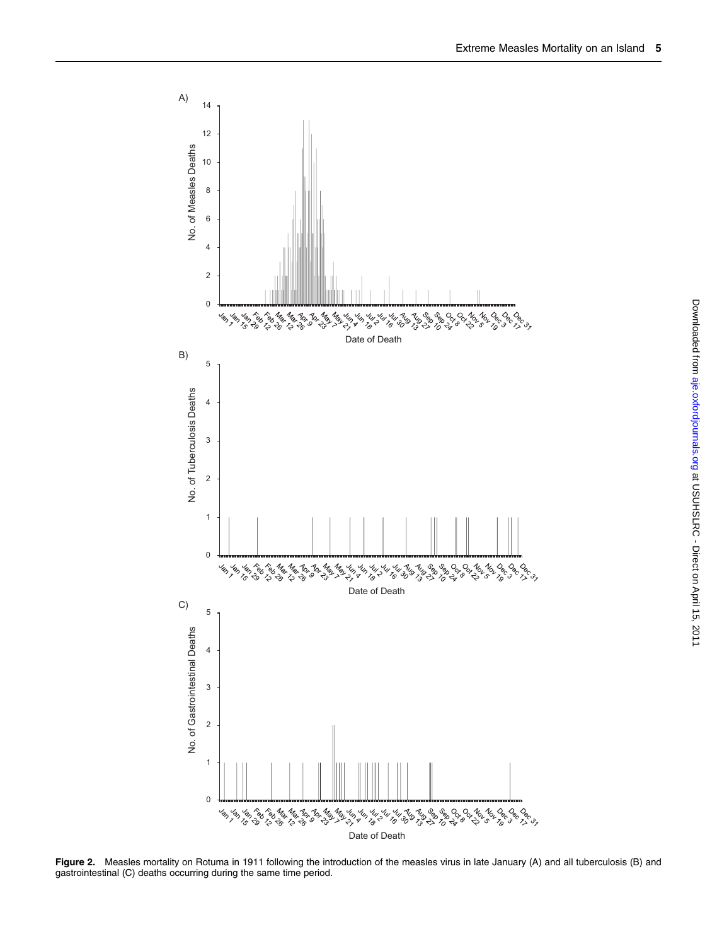

Figure 2. Measles mortality on Rotuma in 1911 following the introduction of the measles virus in late January (A) and all tuberculosis (B) and gastrointestinal (C) deaths occurring during the same time period.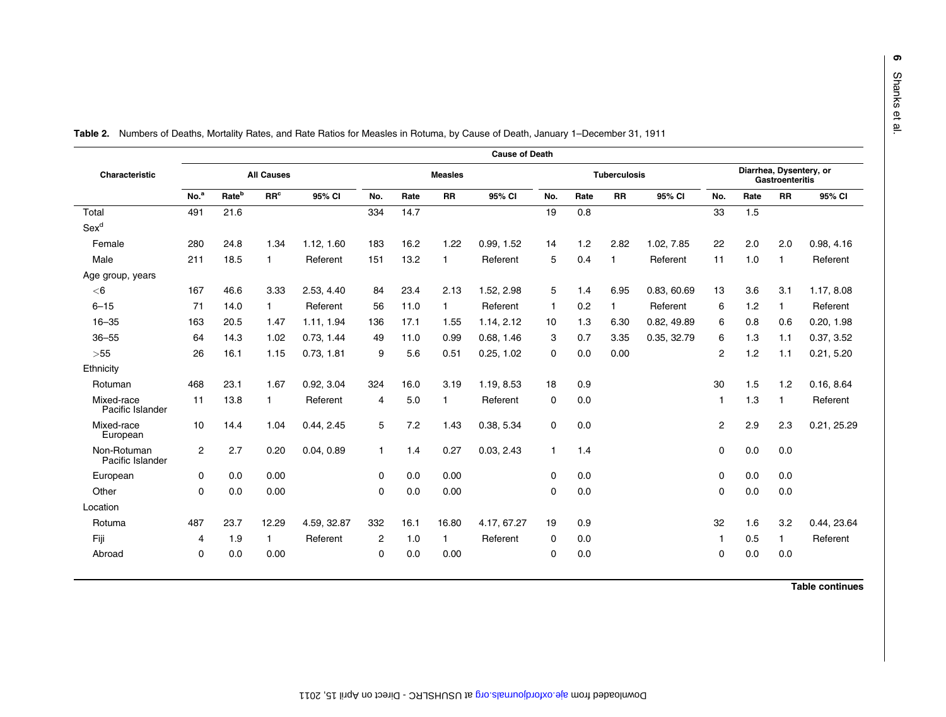|                                 | <b>Cause of Death</b> |                   |                 |            |              |                |              |             |              |                     |           |             |                |      |                                                   |             |  |  |
|---------------------------------|-----------------------|-------------------|-----------------|------------|--------------|----------------|--------------|-------------|--------------|---------------------|-----------|-------------|----------------|------|---------------------------------------------------|-------------|--|--|
| Characteristic                  | <b>All Causes</b>     |                   |                 |            |              | <b>Measles</b> |              |             |              | <b>Tuberculosis</b> |           |             |                |      | Diarrhea, Dysentery, or<br><b>Gastroenteritis</b> |             |  |  |
|                                 | No. <sup>a</sup>      | Rate <sup>b</sup> | RR <sup>c</sup> | 95% CI     | No.          | Rate           | <b>RR</b>    | 95% CI      | No.          | Rate                | <b>RR</b> | 95% CI      | No.            | Rate | <b>RR</b>                                         | 95% CI      |  |  |
| Total                           | 491                   | 21.6              |                 |            | 334          | 14.7           |              |             | 19           | 0.8                 |           |             | 33             | 1.5  |                                                   |             |  |  |
| Sex <sup>d</sup>                |                       |                   |                 |            |              |                |              |             |              |                     |           |             |                |      |                                                   |             |  |  |
| Female                          | 280                   | 24.8              | 1.34            | 1.12.1.60  | 183          | 16.2           | 1.22         | 0.99.1.52   | 14           | 1.2                 | 2.82      | 1.02. 7.85  | 22             | 2.0  | 2.0                                               | 0.98, 4.16  |  |  |
| Male                            | 211                   | 18.5              | $\mathbf{1}$    | Referent   | 151          | 13.2           | 1            | Referent    | 5            | 0.4                 |           | Referent    | 11             | 1.0  | -1                                                | Referent    |  |  |
| Age group, years                |                       |                   |                 |            |              |                |              |             |              |                     |           |             |                |      |                                                   |             |  |  |
| $<$ 6                           | 167                   | 46.6              | 3.33            | 2.53, 4.40 | 84           | 23.4           | 2.13         | 1.52, 2.98  | 5            | 1.4                 | 6.95      | 0.83, 60.69 | 13             | 3.6  | 3.1                                               | 1.17, 8.08  |  |  |
| $6 - 15$                        | 71                    | 14.0              | $\mathbf{1}$    | Referent   | 56           | 11.0           | $\mathbf{1}$ | Referent    | $\mathbf{1}$ | 0.2                 |           | Referent    | 6              | 1.2  | 1                                                 | Referent    |  |  |
| $16 - 35$                       | 163                   | 20.5              | 1.47            | 1.11, 1.94 | 136          | 17.1           | 1.55         | 1.14, 2.12  | 10           | 1.3                 | 6.30      | 0.82, 49.89 | 6              | 0.8  | 0.6                                               | 0.20, 1.98  |  |  |
| $36 - 55$                       | 64                    | 14.3              | 1.02            | 0.73, 1.44 | 49           | 11.0           | 0.99         | 0.68, 1.46  | 3            | 0.7                 | 3.35      | 0.35, 32.79 | 6              | 1.3  | 1.1                                               | 0.37, 3.52  |  |  |
| $>55$                           | 26                    | 16.1              | 1.15            | 0.73, 1.81 | 9            | 5.6            | 0.51         | 0.25, 1.02  | 0            | 0.0                 | 0.00      |             | $\overline{2}$ | 1.2  | 1.1                                               | 0.21, 5.20  |  |  |
| Ethnicity                       |                       |                   |                 |            |              |                |              |             |              |                     |           |             |                |      |                                                   |             |  |  |
| Rotuman                         | 468                   | 23.1              | 1.67            | 0.92, 3.04 | 324          | 16.0           | 3.19         | 1.19, 8.53  | 18           | 0.9                 |           |             | 30             | 1.5  | 1.2                                               | 0.16, 8.64  |  |  |
| Mixed-race<br>Pacific Islander  | 11                    | 13.8              | $\mathbf{1}$    | Referent   | 4            | 5.0            | 1            | Referent    | $\Omega$     | 0.0                 |           |             | 1              | 1.3  | -1                                                | Referent    |  |  |
| Mixed-race<br>European          | 10                    | 14.4              | 1.04            | 0.44, 2.45 | 5            | 7.2            | 1.43         | 0.38, 5.34  | $\Omega$     | 0.0                 |           |             | 2              | 2.9  | 2.3                                               | 0.21, 25.29 |  |  |
| Non-Rotuman<br>Pacific Islander | $\overline{2}$        | 2.7               | 0.20            | 0.04, 0.89 | $\mathbf{1}$ | 1.4            | 0.27         | 0.03, 2.43  | $\mathbf{1}$ | 1.4                 |           |             | $\Omega$       | 0.0  | 0.0                                               |             |  |  |
| European                        | 0                     | 0.0               | 0.00            |            | $\mathbf 0$  | 0.0            | 0.00         |             | 0            | 0.0                 |           |             | 0              | 0.0  | 0.0                                               |             |  |  |
| Other                           | $\Omega$              | 0.0               | 0.00            |            | $\Omega$     | 0.0            | 0.00         |             | $\Omega$     | 0.0                 |           |             | $\Omega$       | 0.0  | 0.0                                               |             |  |  |
| Location                        |                       |                   |                 |            |              |                |              |             |              |                     |           |             |                |      |                                                   |             |  |  |
| Rotuma                          | 487                   | 23.7              | 12.29           | 4.59.32.87 | 332          | 16.1           | 16.80        | 4.17, 67.27 | 19           | 0.9                 |           |             | 32             | 1.6  | 3.2                                               | 0.44, 23.64 |  |  |
| Fiji                            | 4                     | 1.9               | $\mathbf{1}$    | Referent   | 2            | 1.0            | 1            | Referent    | 0            | 0.0                 |           |             |                | 0.5  | $\mathbf{1}$                                      | Referent    |  |  |
| Abroad                          | $\Omega$              | 0.0               | 0.00            |            | $\Omega$     | 0.0            | 0.00         |             | 0            | 0.0                 |           |             | $\Omega$       | 0.0  | 0.0                                               |             |  |  |

Table 2. Numbers of Deaths, Mortality Rates, and Rate Ratios for Measles in Rotuma, by Cause of Death, January 1–December 31, 1911

Table continues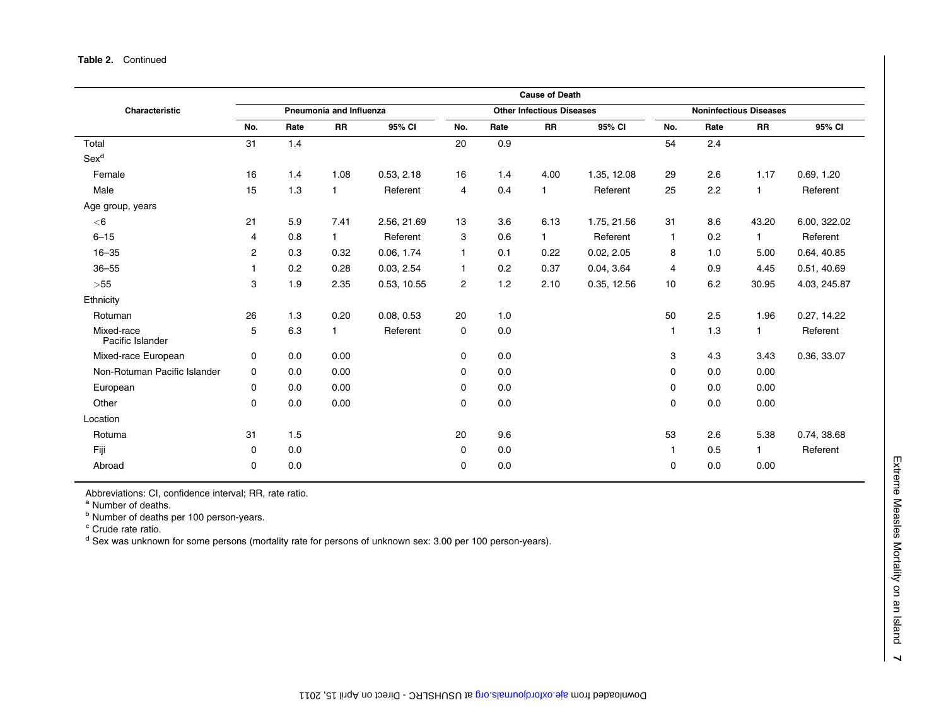|                                |                |      |                         |             |                |      | <b>Cause of Death</b>            |             |                               |      |              |              |  |
|--------------------------------|----------------|------|-------------------------|-------------|----------------|------|----------------------------------|-------------|-------------------------------|------|--------------|--------------|--|
| Characteristic                 |                |      | Pneumonia and Influenza |             |                |      | <b>Other Infectious Diseases</b> |             | <b>Noninfectious Diseases</b> |      |              |              |  |
|                                | No.            | Rate | <b>RR</b>               | 95% CI      | No.            | Rate | <b>RR</b>                        | 95% CI      | No.                           | Rate | <b>RR</b>    | 95% CI       |  |
| Total                          | 31             | 1.4  |                         |             | 20             | 0.9  |                                  |             | 54                            | 2.4  |              |              |  |
| Sex <sup>d</sup>               |                |      |                         |             |                |      |                                  |             |                               |      |              |              |  |
| Female                         | 16             | 1.4  | 1.08                    | 0.53, 2.18  | 16             | 1.4  | 4.00                             | 1.35, 12.08 | 29                            | 2.6  | 1.17         | 0.69, 1.20   |  |
| Male                           | 15             | 1.3  | $\mathbf{1}$            | Referent    | 4              | 0.4  | 1                                | Referent    | 25                            | 2.2  | 1            | Referent     |  |
| Age group, years               |                |      |                         |             |                |      |                                  |             |                               |      |              |              |  |
| $<$ 6                          | 21             | 5.9  | 7.41                    | 2.56, 21.69 | 13             | 3.6  | 6.13                             | 1.75, 21.56 | 31                            | 8.6  | 43.20        | 6.00, 322.02 |  |
| $6 - 15$                       | 4              | 0.8  | $\mathbf{1}$            | Referent    | 3              | 0.6  | $\mathbf{1}$                     | Referent    | $\mathbf{1}$                  | 0.2  | $\mathbf{1}$ | Referent     |  |
| $16 - 35$                      | $\overline{c}$ | 0.3  | 0.32                    | 0.06, 1.74  | 1              | 0.1  | 0.22                             | 0.02, 2.05  | 8                             | 1.0  | 5.00         | 0.64, 40.85  |  |
| $36 - 55$                      |                | 0.2  | 0.28                    | 0.03, 2.54  | 1              | 0.2  | 0.37                             | 0.04, 3.64  | 4                             | 0.9  | 4.45         | 0.51, 40.69  |  |
| $>\!\!55$                      | 3              | 1.9  | 2.35                    | 0.53, 10.55 | $\overline{2}$ | 1.2  | 2.10                             | 0.35, 12.56 | 10                            | 6.2  | 30.95        | 4.03, 245.87 |  |
| Ethnicity                      |                |      |                         |             |                |      |                                  |             |                               |      |              |              |  |
| Rotuman                        | 26             | 1.3  | 0.20                    | 0.08, 0.53  | 20             | 1.0  |                                  |             | 50                            | 2.5  | 1.96         | 0.27, 14.22  |  |
| Mixed-race<br>Pacific Islander | 5              | 6.3  | $\mathbf{1}$            | Referent    | 0              | 0.0  |                                  |             | $\mathbf{1}$                  | 1.3  | $\mathbf{1}$ | Referent     |  |
| Mixed-race European            | 0              | 0.0  | 0.00                    |             | 0              | 0.0  |                                  |             | 3                             | 4.3  | 3.43         | 0.36, 33.07  |  |
| Non-Rotuman Pacific Islander   | 0              | 0.0  | 0.00                    |             | 0              | 0.0  |                                  |             | 0                             | 0.0  | 0.00         |              |  |
| European                       | 0              | 0.0  | 0.00                    |             | 0              | 0.0  |                                  |             | 0                             | 0.0  | 0.00         |              |  |
| Other                          | $\mathbf 0$    | 0.0  | 0.00                    |             | 0              | 0.0  |                                  |             | 0                             | 0.0  | 0.00         |              |  |
| Location                       |                |      |                         |             |                |      |                                  |             |                               |      |              |              |  |
| Rotuma                         | 31             | 1.5  |                         |             | 20             | 9.6  |                                  |             | 53                            | 2.6  | 5.38         | 0.74, 38.68  |  |
| Fiji                           | $\mathbf 0$    | 0.0  |                         |             | 0              | 0.0  |                                  |             | $\mathbf{1}$                  | 0.5  | 1            | Referent     |  |
| Abroad                         | 0              | 0.0  |                         |             | $\mathbf 0$    | 0.0  |                                  |             | 0                             | 0.0  | 0.00         |              |  |

Abbreviations: CI, confidence interval; RR, rate ratio.

<sup>a</sup> Number of deaths.

<sup>b</sup> Number of deaths per 100 person-years.

<sup>c</sup> Crude rate ratio.

<sup>d</sup> Sex was unknown for some persons (mortality rate for persons of unknown sex: 3.00 per 100 person-years).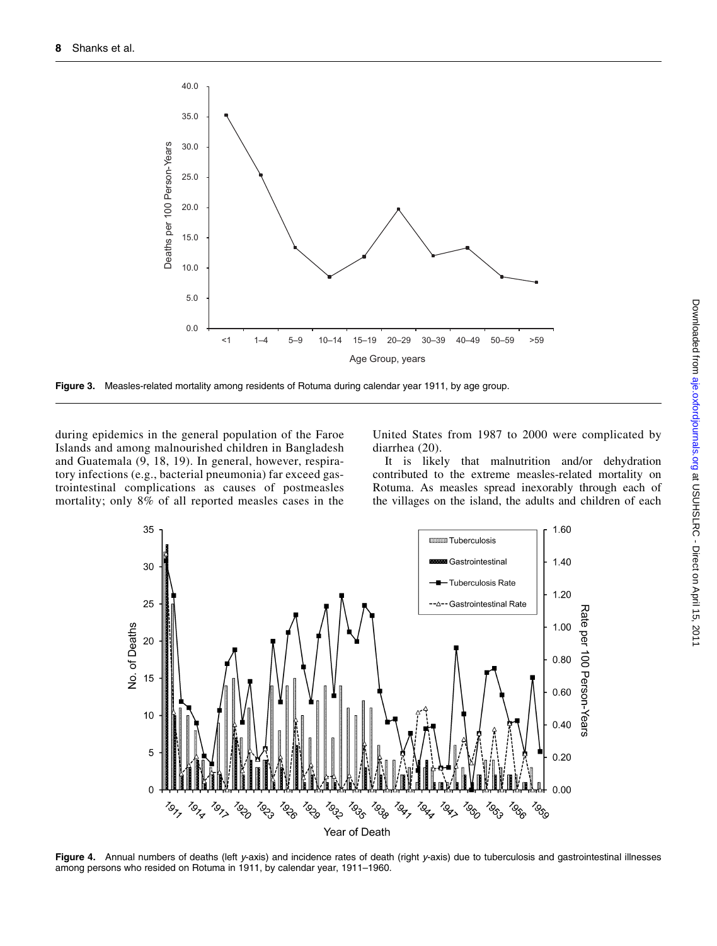

Figure 3. Measles-related mortality among residents of Rotuma during calendar year 1911, by age group.

during epidemics in the general population of the Faroe Islands and among malnourished children in Bangladesh and Guatemala (9, 18, 19). In general, however, respiratory infections (e.g., bacterial pneumonia) far exceed gastrointestinal complications as causes of postmeasles mortality; only 8% of all reported measles cases in the United States from 1987 to 2000 were complicated by diarrhea (20).

It is likely that malnutrition and/or dehydration contributed to the extreme measles-related mortality on Rotuma. As measles spread inexorably through each of the villages on the island, the adults and children of each



Figure 4. Annual numbers of deaths (left y-axis) and incidence rates of death (right y-axis) due to tuberculosis and gastrointestinal illnesses among persons who resided on Rotuma in 1911, by calendar year, 1911–1960.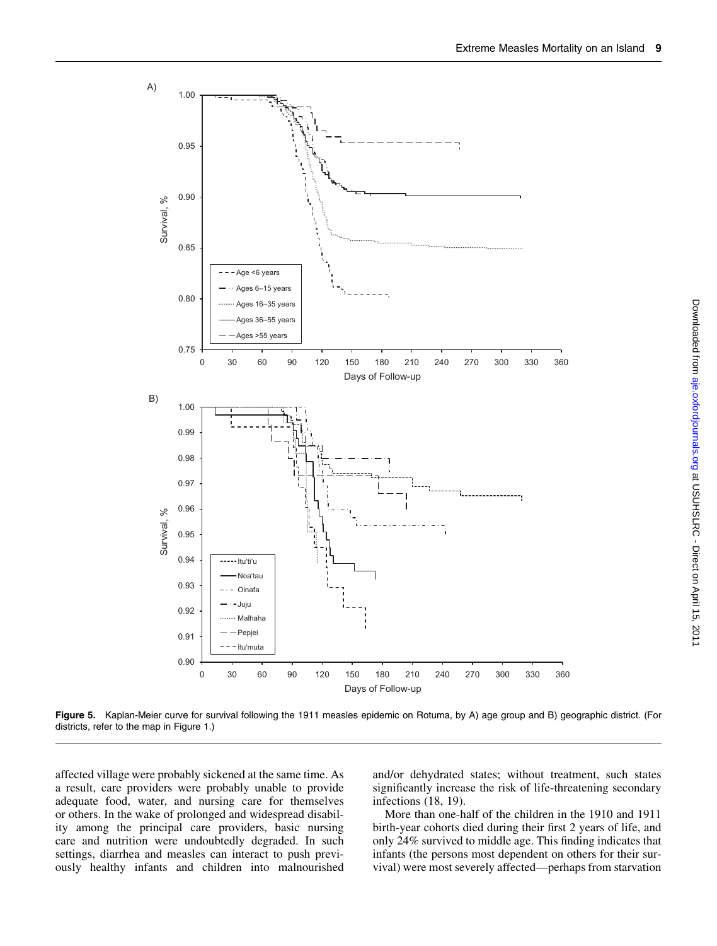



affected village were probably sickened at the same time. As a result, care providers were probably unable to provide adequate food, water, and nursing care for themselves or others. In the wake of prolonged and widespread disability among the principal care providers, basic nursing care and nutrition were undoubtedly degraded. In such settings, diarrhea and measles can interact to push previously healthy infants and children into malnourished

and/or dehydrated states; without treatment, such states significantly increase the risk of life-threatening secondary infections (18, 19).

More than one-half of the children in the 1910 and 1911 birth-year cohorts died during their first 2 years of life, and only 24% survived to middle age. This finding indicates that infants (the persons most dependent on others for their survival) were most severely affected—perhaps from starvation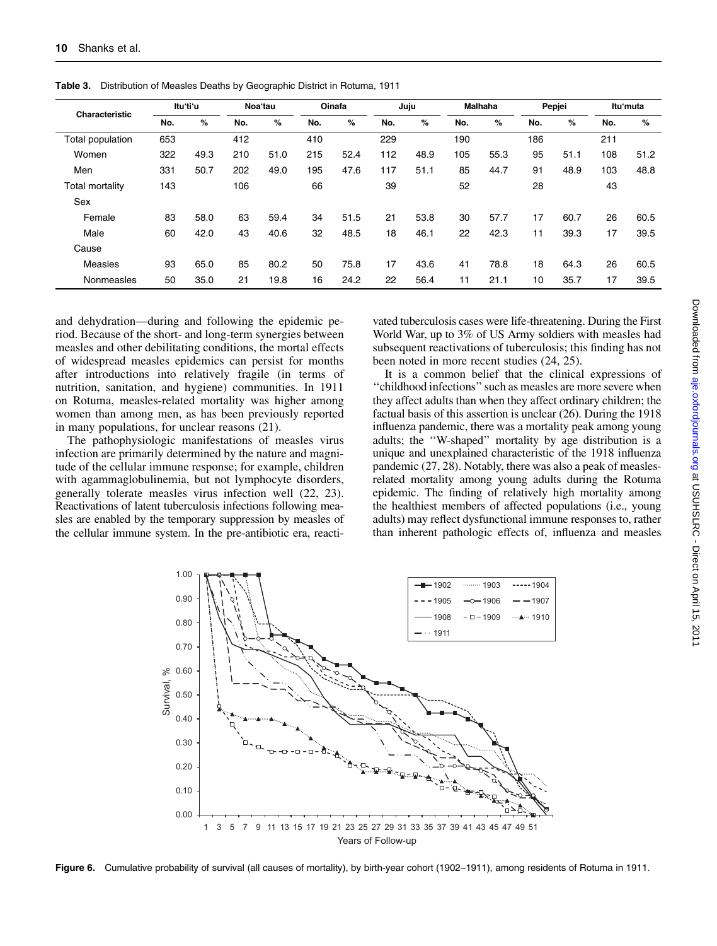| Characteristic          | Ituʻtiʻu |      | Noa'tau |      | Oinafa |      | Juju |      | <b>Malhaha</b> |      | Pepjei |      | Itu'muta |      |
|-------------------------|----------|------|---------|------|--------|------|------|------|----------------|------|--------|------|----------|------|
|                         | No.      | %    | No.     | %    | No.    | %    | No.  | %    | No.            | %    | No.    | %    | No.      | %    |
| <b>Total population</b> | 653      |      | 412     |      | 410    |      | 229  |      | 190            |      | 186    |      | 211      |      |
| Women                   | 322      | 49.3 | 210     | 51.0 | 215    | 52.4 | 112  | 48.9 | 105            | 55.3 | 95     | 51.1 | 108      | 51.2 |
| Men                     | 331      | 50.7 | 202     | 49.0 | 195    | 47.6 | 117  | 51.1 | 85             | 44.7 | 91     | 48.9 | 103      | 48.8 |
| Total mortality         | 143      |      | 106     |      | 66     |      | 39   |      | 52             |      | 28     |      | 43       |      |
| Sex                     |          |      |         |      |        |      |      |      |                |      |        |      |          |      |
| Female                  | 83       | 58.0 | 63      | 59.4 | 34     | 51.5 | 21   | 53.8 | 30             | 57.7 | 17     | 60.7 | 26       | 60.5 |
| Male                    | 60       | 42.0 | 43      | 40.6 | 32     | 48.5 | 18   | 46.1 | 22             | 42.3 | 11     | 39.3 | 17       | 39.5 |
| Cause                   |          |      |         |      |        |      |      |      |                |      |        |      |          |      |
| Measles                 | 93       | 65.0 | 85      | 80.2 | 50     | 75.8 | 17   | 43.6 | 41             | 78.8 | 18     | 64.3 | 26       | 60.5 |
| Nonmeasles              | 50       | 35.0 | 21      | 19.8 | 16     | 24.2 | 22   | 56.4 | 11             | 21.1 | 10     | 35.7 | 17       | 39.5 |

Table 3. Distribution of Measles Deaths by Geographic District in Rotuma, 1911

and dehydration—during and following the epidemic period. Because of the short- and long-term synergies between measles and other debilitating conditions, the mortal effects of widespread measles epidemics can persist for months after introductions into relatively fragile (in terms of nutrition, sanitation, and hygiene) communities. In 1911 on Rotuma, measles-related mortality was higher among women than among men, as has been previously reported in many populations, for unclear reasons (21).

The pathophysiologic manifestations of measles virus infection are primarily determined by the nature and magnitude of the cellular immune response; for example, children with agammaglobulinemia, but not lymphocyte disorders, generally tolerate measles virus infection well (22, 23). Reactivations of latent tuberculosis infections following measles are enabled by the temporary suppression by measles of the cellular immune system. In the pre-antibiotic era, reactivated tuberculosis cases were life-threatening. During the First World War, up to 3% of US Army soldiers with measles had subsequent reactivations of tuberculosis; this finding has not been noted in more recent studies (24, 25).

It is a common belief that the clinical expressions of ''childhood infections'' such as measles are more severe when they affect adults than when they affect ordinary children; the factual basis of this assertion is unclear (26). During the 1918 influenza pandemic, there was a mortality peak among young adults; the ''W-shaped'' mortality by age distribution is a unique and unexplained characteristic of the 1918 influenza pandemic (27, 28). Notably, there was also a peak of measlesrelated mortality among young adults during the Rotuma epidemic. The finding of relatively high mortality among the healthiest members of affected populations (i.e., young adults) may reflect dysfunctional immune responses to, rather than inherent pathologic effects of, influenza and measles



Figure 6. Cumulative probability of survival (all causes of mortality), by birth-year cohort (1902-1911), among residents of Rotuma in 1911.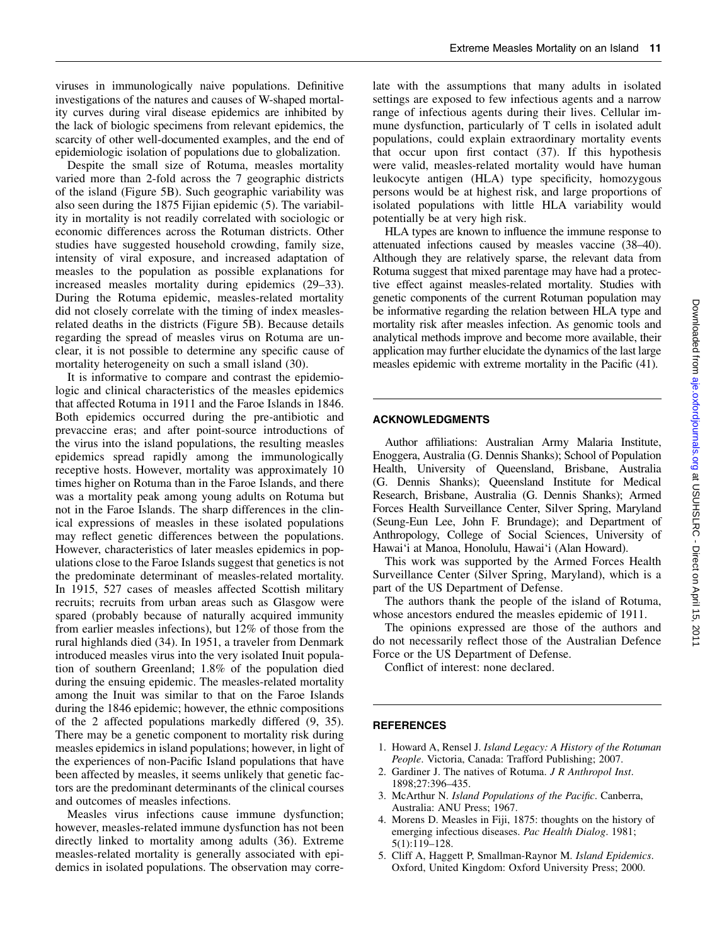viruses in immunologically naive populations. Definitive investigations of the natures and causes of W-shaped mortality curves during viral disease epidemics are inhibited by the lack of biologic specimens from relevant epidemics, the scarcity of other well-documented examples, and the end of epidemiologic isolation of populations due to globalization.

Despite the small size of Rotuma, measles mortality varied more than 2-fold across the 7 geographic districts of the island (Figure 5B). Such geographic variability was also seen during the 1875 Fijian epidemic (5). The variability in mortality is not readily correlated with sociologic or economic differences across the Rotuman districts. Other studies have suggested household crowding, family size, intensity of viral exposure, and increased adaptation of measles to the population as possible explanations for increased measles mortality during epidemics (29–33). During the Rotuma epidemic, measles-related mortality did not closely correlate with the timing of index measlesrelated deaths in the districts (Figure 5B). Because details regarding the spread of measles virus on Rotuma are unclear, it is not possible to determine any specific cause of mortality heterogeneity on such a small island (30).

It is informative to compare and contrast the epidemiologic and clinical characteristics of the measles epidemics that affected Rotuma in 1911 and the Faroe Islands in 1846. Both epidemics occurred during the pre-antibiotic and prevaccine eras; and after point-source introductions of the virus into the island populations, the resulting measles epidemics spread rapidly among the immunologically receptive hosts. However, mortality was approximately 10 times higher on Rotuma than in the Faroe Islands, and there was a mortality peak among young adults on Rotuma but not in the Faroe Islands. The sharp differences in the clinical expressions of measles in these isolated populations may reflect genetic differences between the populations. However, characteristics of later measles epidemics in populations close to the Faroe Islands suggest that genetics is not the predominate determinant of measles-related mortality. In 1915, 527 cases of measles affected Scottish military recruits; recruits from urban areas such as Glasgow were spared (probably because of naturally acquired immunity from earlier measles infections), but 12% of those from the rural highlands died (34). In 1951, a traveler from Denmark introduced measles virus into the very isolated Inuit population of southern Greenland; 1.8% of the population died during the ensuing epidemic. The measles-related mortality among the Inuit was similar to that on the Faroe Islands during the 1846 epidemic; however, the ethnic compositions of the 2 affected populations markedly differed (9, 35). There may be a genetic component to mortality risk during measles epidemics in island populations; however, in light of the experiences of non-Pacific Island populations that have been affected by measles, it seems unlikely that genetic factors are the predominant determinants of the clinical courses and outcomes of measles infections.

Measles virus infections cause immune dysfunction; however, measles-related immune dysfunction has not been directly linked to mortality among adults (36). Extreme measles-related mortality is generally associated with epidemics in isolated populations. The observation may correlate with the assumptions that many adults in isolated settings are exposed to few infectious agents and a narrow range of infectious agents during their lives. Cellular immune dysfunction, particularly of T cells in isolated adult populations, could explain extraordinary mortality events that occur upon first contact (37). If this hypothesis were valid, measles-related mortality would have human leukocyte antigen (HLA) type specificity, homozygous persons would be at highest risk, and large proportions of isolated populations with little HLA variability would potentially be at very high risk.

HLA types are known to influence the immune response to attenuated infections caused by measles vaccine (38–40). Although they are relatively sparse, the relevant data from Rotuma suggest that mixed parentage may have had a protective effect against measles-related mortality. Studies with genetic components of the current Rotuman population may be informative regarding the relation between HLA type and mortality risk after measles infection. As genomic tools and analytical methods improve and become more available, their application may further elucidate the dynamics of the last large measles epidemic with extreme mortality in the Pacific (41).

#### ACKNOWLEDGMENTS

Author affiliations: Australian Army Malaria Institute, Enoggera, Australia (G. Dennis Shanks); School of Population Health, University of Queensland, Brisbane, Australia (G. Dennis Shanks); Queensland Institute for Medical Research, Brisbane, Australia (G. Dennis Shanks); Armed Forces Health Surveillance Center, Silver Spring, Maryland (Seung-Eun Lee, John F. Brundage); and Department of Anthropology, College of Social Sciences, University of Hawai'i at Manoa, Honolulu, Hawai'i (Alan Howard).

This work was supported by the Armed Forces Health Surveillance Center (Silver Spring, Maryland), which is a part of the US Department of Defense.

The authors thank the people of the island of Rotuma, whose ancestors endured the measles epidemic of 1911.

The opinions expressed are those of the authors and do not necessarily reflect those of the Australian Defence Force or the US Department of Defense.

Conflict of interest: none declared.

#### **REFERENCES**

- 1. Howard A, Rensel J. Island Legacy: A History of the Rotuman People. Victoria, Canada: Trafford Publishing; 2007.
- 2. Gardiner J. The natives of Rotuma. J R Anthropol Inst. 1898;27:396–435.
- 3. McArthur N. Island Populations of the Pacific. Canberra, Australia: ANU Press; 1967.
- 4. Morens D. Measles in Fiji, 1875: thoughts on the history of emerging infectious diseases. Pac Health Dialog. 1981; 5(1):119–128.
- 5. Cliff A, Haggett P, Smallman-Raynor M. Island Epidemics. Oxford, United Kingdom: Oxford University Press; 2000.